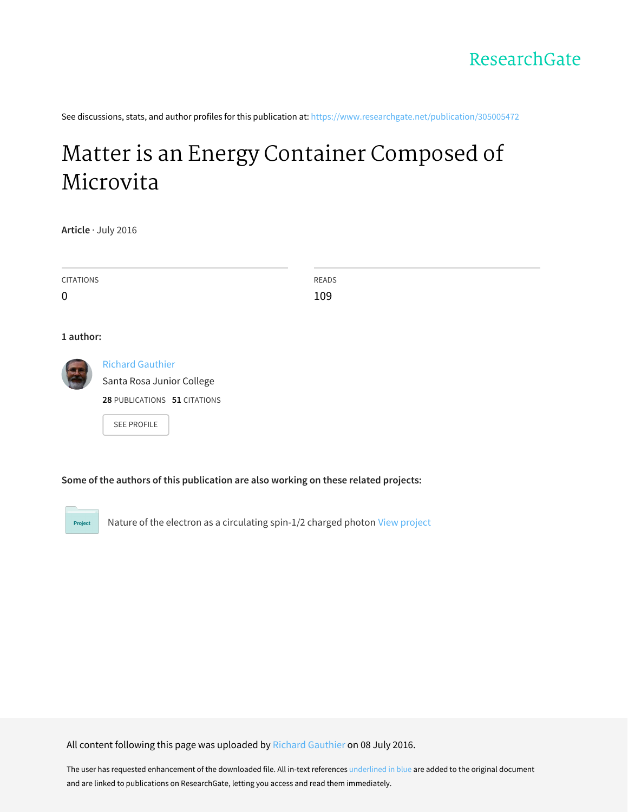See discussions, stats, and author profiles for this publication at: [https://www.researchgate.net/publication/305005472](https://www.researchgate.net/publication/305005472_Matter_is_an_Energy_Container_Composed_of_Microvita?enrichId=rgreq-6a411f37c511505fb9205dc3a3f3aee9-XXX&enrichSource=Y292ZXJQYWdlOzMwNTAwNTQ3MjtBUzozODE0MDczMjQwNjU3OTRAMTQ2Nzk0NjAwMDk1Mg%3D%3D&el=1_x_2&_esc=publicationCoverPdf)

# Matter is an Energy Container [Composed](https://www.researchgate.net/publication/305005472_Matter_is_an_Energy_Container_Composed_of_Microvita?enrichId=rgreq-6a411f37c511505fb9205dc3a3f3aee9-XXX&enrichSource=Y292ZXJQYWdlOzMwNTAwNTQ3MjtBUzozODE0MDczMjQwNjU3OTRAMTQ2Nzk0NjAwMDk1Mg%3D%3D&el=1_x_3&_esc=publicationCoverPdf) of Microvita

**Article** · July 2016

| <b>CITATIONS</b> |                              | READS |  |
|------------------|------------------------------|-------|--|
| 0                |                              | 109   |  |
|                  |                              |       |  |
| 1 author:        |                              |       |  |
| <b>G</b>         | <b>Richard Gauthier</b>      |       |  |
|                  | Santa Rosa Junior College    |       |  |
|                  | 28 PUBLICATIONS 51 CITATIONS |       |  |
|                  | <b>SEE PROFILE</b>           |       |  |

**Some of the authors of this publication are also working on these related projects:**

Nature of the electron as a circulating spin-1/2 charged photon View [project](https://www.researchgate.net/project/Nature-of-the-electron-as-a-circulating-spin-1-2-charged-photon?enrichId=rgreq-6a411f37c511505fb9205dc3a3f3aee9-XXX&enrichSource=Y292ZXJQYWdlOzMwNTAwNTQ3MjtBUzozODE0MDczMjQwNjU3OTRAMTQ2Nzk0NjAwMDk1Mg%3D%3D&el=1_x_9&_esc=publicationCoverPdf) Project

All content following this page was uploaded by Richard [Gauthier](https://www.researchgate.net/profile/Richard_Gauthier2?enrichId=rgreq-6a411f37c511505fb9205dc3a3f3aee9-XXX&enrichSource=Y292ZXJQYWdlOzMwNTAwNTQ3MjtBUzozODE0MDczMjQwNjU3OTRAMTQ2Nzk0NjAwMDk1Mg%3D%3D&el=1_x_10&_esc=publicationCoverPdf) on 08 July 2016.

The user has requested enhancement of the downloaded file. All in-text references underlined in blue are added to the original document and are linked to publications on ResearchGate, letting you access and read them immediately.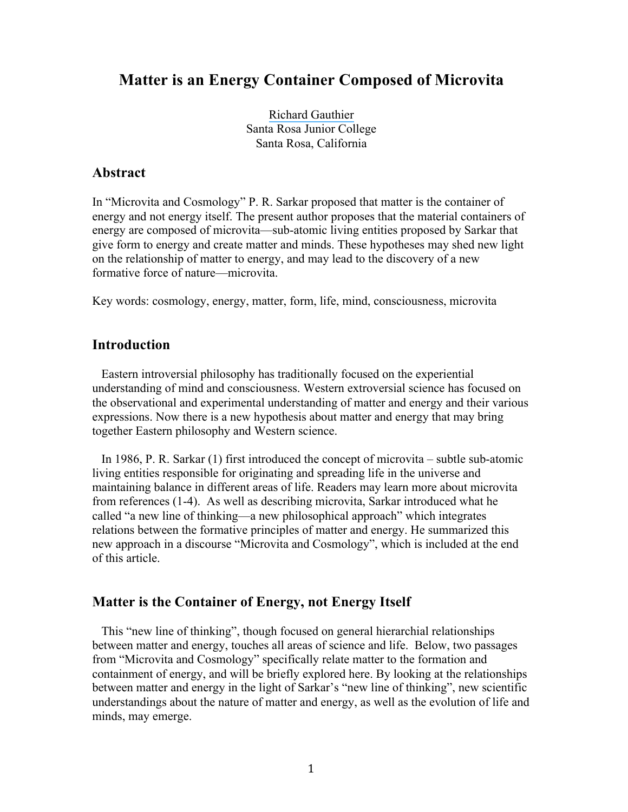# **Matter is an Energy Container Composed of Microvita**

[Richard Gauthier](https://www.researchgate.net/profile/Richard_Gauthier2?el=1_x_100&enrichId=rgreq-6a411f37c511505fb9205dc3a3f3aee9-XXX&enrichSource=Y292ZXJQYWdlOzMwNTAwNTQ3MjtBUzozODE0MDczMjQwNjU3OTRAMTQ2Nzk0NjAwMDk1Mg==) Santa Rosa Junior College Santa Rosa, California

#### **Abstract**

In "Microvita and Cosmology" P. R. Sarkar proposed that matter is the container of energy and not energy itself. The present author proposes that the material containers of energy are composed of microvita—sub-atomic living entities proposed by Sarkar that give form to energy and create matter and minds. These hypotheses may shed new light on the relationship of matter to energy, and may lead to the discovery of a new formative force of nature—microvita.

Key words: cosmology, energy, matter, form, life, mind, consciousness, microvita

#### **Introduction**

 Eastern introversial philosophy has traditionally focused on the experiential understanding of mind and consciousness. Western extroversial science has focused on the observational and experimental understanding of matter and energy and their various expressions. Now there is a new hypothesis about matter and energy that may bring together Eastern philosophy and Western science.

 In 1986, P. R. Sarkar (1) first introduced the concept of microvita – subtle sub-atomic living entities responsible for originating and spreading life in the universe and maintaining balance in different areas of life. Readers may learn more about microvita from references (1-4). As well as describing microvita, Sarkar introduced what he called "a new line of thinking—a new philosophical approach" which integrates relations between the formative principles of matter and energy. He summarized this new approach in a discourse "Microvita and Cosmology", which is included at the end of this article.

#### **Matter is the Container of Energy, not Energy Itself**

 This "new line of thinking", though focused on general hierarchial relationships between matter and energy, touches all areas of science and life. Below, two passages from "Microvita and Cosmology" specifically relate matter to the formation and containment of energy, and will be briefly explored here. By looking at the relationships between matter and energy in the light of Sarkar's "new line of thinking", new scientific understandings about the nature of matter and energy, as well as the evolution of life and minds, may emerge.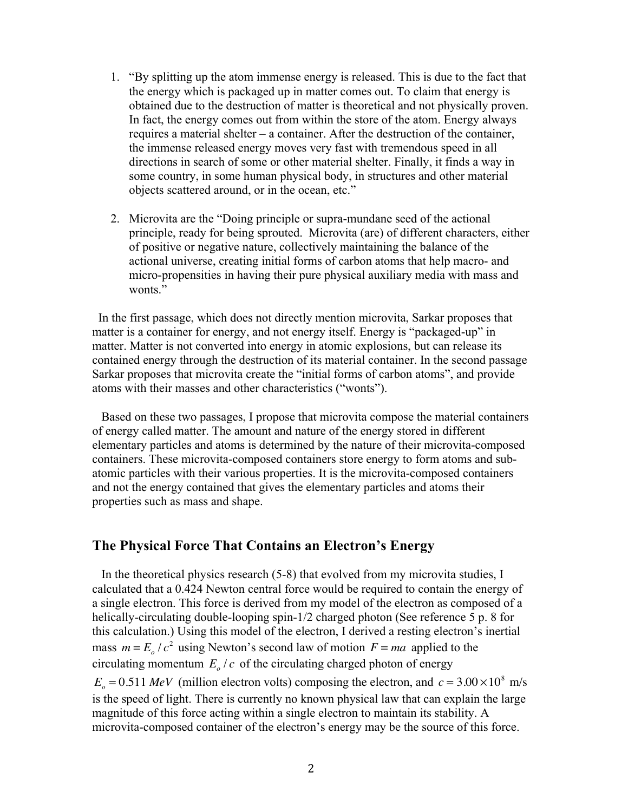- 1. "By splitting up the atom immense energy is released. This is due to the fact that the energy which is packaged up in matter comes out. To claim that energy is obtained due to the destruction of matter is theoretical and not physically proven. In fact, the energy comes out from within the store of the atom. Energy always requires a material shelter – a container. After the destruction of the container, the immense released energy moves very fast with tremendous speed in all directions in search of some or other material shelter. Finally, it finds a way in some country, in some human physical body, in structures and other material objects scattered around, or in the ocean, etc."
- 2. Microvita are the "Doing principle or supra-mundane seed of the actional principle, ready for being sprouted. Microvita (are) of different characters, either of positive or negative nature, collectively maintaining the balance of the actional universe, creating initial forms of carbon atoms that help macro- and micro-propensities in having their pure physical auxiliary media with mass and wonts."

 In the first passage, which does not directly mention microvita, Sarkar proposes that matter is a container for energy, and not energy itself. Energy is "packaged-up" in matter. Matter is not converted into energy in atomic explosions, but can release its contained energy through the destruction of its material container. In the second passage Sarkar proposes that microvita create the "initial forms of carbon atoms", and provide atoms with their masses and other characteristics ("wonts").

 Based on these two passages, I propose that microvita compose the material containers of energy called matter. The amount and nature of the energy stored in different elementary particles and atoms is determined by the nature of their microvita-composed containers. These microvita-composed containers store energy to form atoms and subatomic particles with their various properties. It is the microvita-composed containers and not the energy contained that gives the elementary particles and atoms their properties such as mass and shape.

#### **The Physical Force That Contains an Electron's Energy**

 In the theoretical physics research (5-8) that evolved from my microvita studies, I calculated that a 0.424 Newton central force would be required to contain the energy of a single electron. This force is derived from my model of the electron as composed of a helically-circulating double-looping spin-1/2 charged photon (See reference 5 p. 8 for this calculation.) Using this model of the electron, I derived a resting electron's inertial mass  $m = E_o/c^2$  using Newton's second law of motion  $F = ma$  applied to the circulating momentum  $E_o/c$  of the circulating charged photon of energy  $E_o = 0.511$  *MeV* (million electron volts) composing the electron, and  $c = 3.00 \times 10^8$  m/s is the speed of light. There is currently no known physical law that can explain the large magnitude of this force acting within a single electron to maintain its stability. A microvita-composed container of the electron's energy may be the source of this force.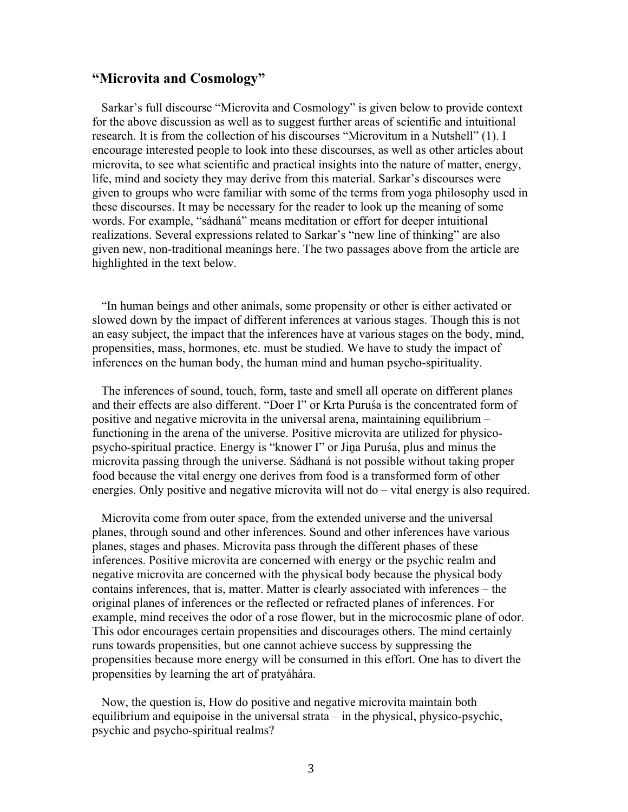#### **"Microvita and Cosmology"**

 Sarkar's full discourse "Microvita and Cosmology" is given below to provide context for the above discussion as well as to suggest further areas of scientific and intuitional research. It is from the collection of his discourses "Microvitum in a Nutshell" (1). I encourage interested people to look into these discourses, as well as other articles about microvita, to see what scientific and practical insights into the nature of matter, energy, life, mind and society they may derive from this material. Sarkar's discourses were given to groups who were familiar with some of the terms from yoga philosophy used in these discourses. It may be necessary for the reader to look up the meaning of some words. For example, "sádhaná" means meditation or effort for deeper intuitional realizations. Several expressions related to Sarkar's "new line of thinking" are also given new, non-traditional meanings here. The two passages above from the article are highlighted in the text below.

 "In human beings and other animals, some propensity or other is either activated or slowed down by the impact of different inferences at various stages. Though this is not an easy subject, the impact that the inferences have at various stages on the body, mind, propensities, mass, hormones, etc. must be studied. We have to study the impact of inferences on the human body, the human mind and human psycho-spirituality.

 The inferences of sound, touch, form, taste and smell all operate on different planes and their effects are also different. "Doer I" or Krta Puruśa is the concentrated form of positive and negative microvita in the universal arena, maintaining equilibrium – functioning in the arena of the universe. Positive microvita are utilized for physicopsycho-spiritual practice. Energy is "knower I" or Jina Puruśa, plus and minus the microvita passing through the universe. Sádhaná is not possible without taking proper food because the vital energy one derives from food is a transformed form of other energies. Only positive and negative microvita will not do – vital energy is also required.

 Microvita come from outer space, from the extended universe and the universal planes, through sound and other inferences. Sound and other inferences have various planes, stages and phases. Microvita pass through the different phases of these inferences. Positive microvita are concerned with energy or the psychic realm and negative microvita are concerned with the physical body because the physical body contains inferences, that is, matter. Matter is clearly associated with inferences – the original planes of inferences or the reflected or refracted planes of inferences. For example, mind receives the odor of a rose flower, but in the microcosmic plane of odor. This odor encourages certain propensities and discourages others. The mind certainly runs towards propensities, but one cannot achieve success by suppressing the propensities because more energy will be consumed in this effort. One has to divert the propensities by learning the art of pratyáhára.

 Now, the question is, How do positive and negative microvita maintain both equilibrium and equipoise in the universal strata – in the physical, physico-psychic, psychic and psycho-spiritual realms?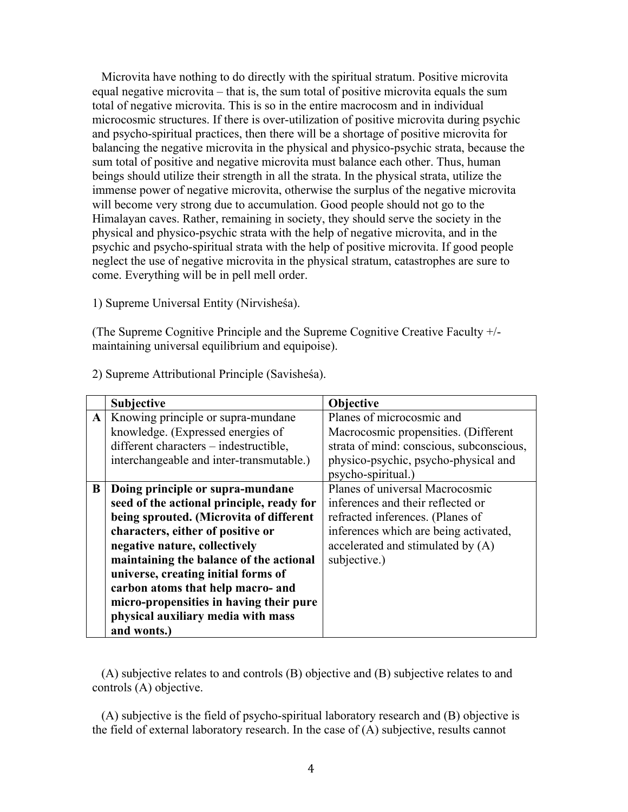Microvita have nothing to do directly with the spiritual stratum. Positive microvita equal negative microvita – that is, the sum total of positive microvita equals the sum total of negative microvita. This is so in the entire macrocosm and in individual microcosmic structures. If there is over-utilization of positive microvita during psychic and psycho-spiritual practices, then there will be a shortage of positive microvita for balancing the negative microvita in the physical and physico-psychic strata, because the sum total of positive and negative microvita must balance each other. Thus, human beings should utilize their strength in all the strata. In the physical strata, utilize the immense power of negative microvita, otherwise the surplus of the negative microvita will become very strong due to accumulation. Good people should not go to the Himalayan caves. Rather, remaining in society, they should serve the society in the physical and physico-psychic strata with the help of negative microvita, and in the psychic and psycho-spiritual strata with the help of positive microvita. If good people neglect the use of negative microvita in the physical stratum, catastrophes are sure to come. Everything will be in pell mell order.

1) Supreme Universal Entity (Nirvisheśa).

(The Supreme Cognitive Principle and the Supreme Cognitive Creative Faculty +/ maintaining universal equilibrium and equipoise).

|           | <b>Subjective</b>                         | Objective                                |
|-----------|-------------------------------------------|------------------------------------------|
| ${\bf A}$ | Knowing principle or supra-mundane        | Planes of microcosmic and                |
|           | knowledge. (Expressed energies of         | Macrocosmic propensities. (Different     |
|           | different characters - indestructible,    | strata of mind: conscious, subconscious, |
|           | interchangeable and inter-transmutable.)  | physico-psychic, psycho-physical and     |
|           |                                           | psycho-spiritual.)                       |
| B         | Doing principle or supra-mundane          | Planes of universal Macrocosmic          |
|           | seed of the actional principle, ready for | inferences and their reflected or        |
|           | being sprouted. (Microvita of different   | refracted inferences. (Planes of         |
|           | characters, either of positive or         | inferences which are being activated,    |
|           | negative nature, collectively             | accelerated and stimulated by (A)        |
|           | maintaining the balance of the actional   | subjective.)                             |
|           | universe, creating initial forms of       |                                          |
|           | carbon atoms that help macro- and         |                                          |
|           | micro-propensities in having their pure   |                                          |
|           | physical auxiliary media with mass        |                                          |
|           | and wonts.)                               |                                          |

2) Supreme Attributional Principle (Savisheśa).

 (A) subjective relates to and controls (B) objective and (B) subjective relates to and controls (A) objective.

 (A) subjective is the field of psycho-spiritual laboratory research and (B) objective is the field of external laboratory research. In the case of (A) subjective, results cannot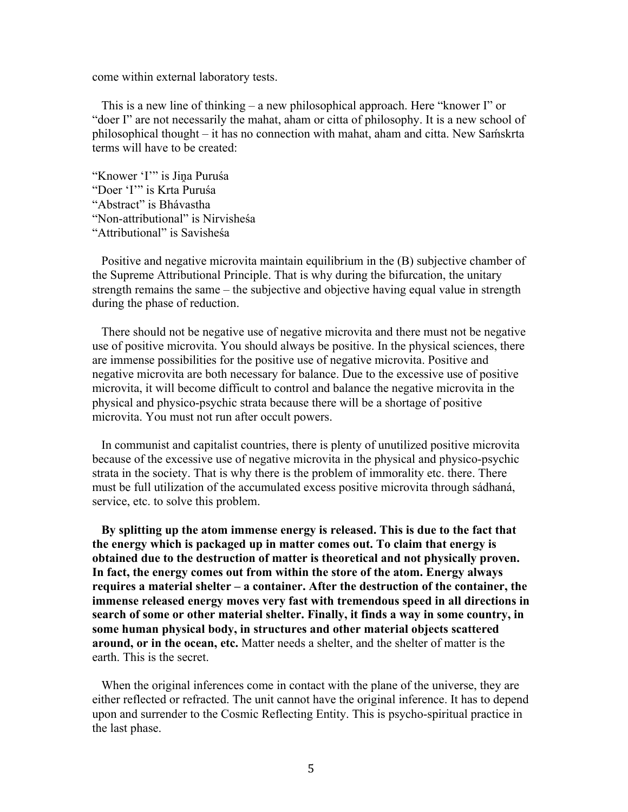come within external laboratory tests.

 This is a new line of thinking – a new philosophical approach. Here "knower I" or "doer I" are not necessarily the mahat, aham or citta of philosophy. It is a new school of philosophical thought – it has no connection with mahat, aham and citta. New Samskrta terms will have to be created:

"Knower 'I'" is Jina Puruśa "Doer 'I'" is Krta Puruśa "Abstract" is Bhávastha "Non-attributional" is Nirvisheśa "Attributional" is Savisheśa

 Positive and negative microvita maintain equilibrium in the (B) subjective chamber of the Supreme Attributional Principle. That is why during the bifurcation, the unitary strength remains the same – the subjective and objective having equal value in strength during the phase of reduction.

 There should not be negative use of negative microvita and there must not be negative use of positive microvita. You should always be positive. In the physical sciences, there are immense possibilities for the positive use of negative microvita. Positive and negative microvita are both necessary for balance. Due to the excessive use of positive microvita, it will become difficult to control and balance the negative microvita in the physical and physico-psychic strata because there will be a shortage of positive microvita. You must not run after occult powers.

 In communist and capitalist countries, there is plenty of unutilized positive microvita because of the excessive use of negative microvita in the physical and physico-psychic strata in the society. That is why there is the problem of immorality etc. there. There must be full utilization of the accumulated excess positive microvita through sádhaná, service, etc. to solve this problem.

 **By splitting up the atom immense energy is released. This is due to the fact that the energy which is packaged up in matter comes out. To claim that energy is obtained due to the destruction of matter is theoretical and not physically proven. In fact, the energy comes out from within the store of the atom. Energy always requires a material shelter – a container. After the destruction of the container, the immense released energy moves very fast with tremendous speed in all directions in search of some or other material shelter. Finally, it finds a way in some country, in some human physical body, in structures and other material objects scattered around, or in the ocean, etc.** Matter needs a shelter, and the shelter of matter is the earth. This is the secret.

 When the original inferences come in contact with the plane of the universe, they are either reflected or refracted. The unit cannot have the original inference. It has to depend upon and surrender to the Cosmic Reflecting Entity. This is psycho-spiritual practice in the last phase.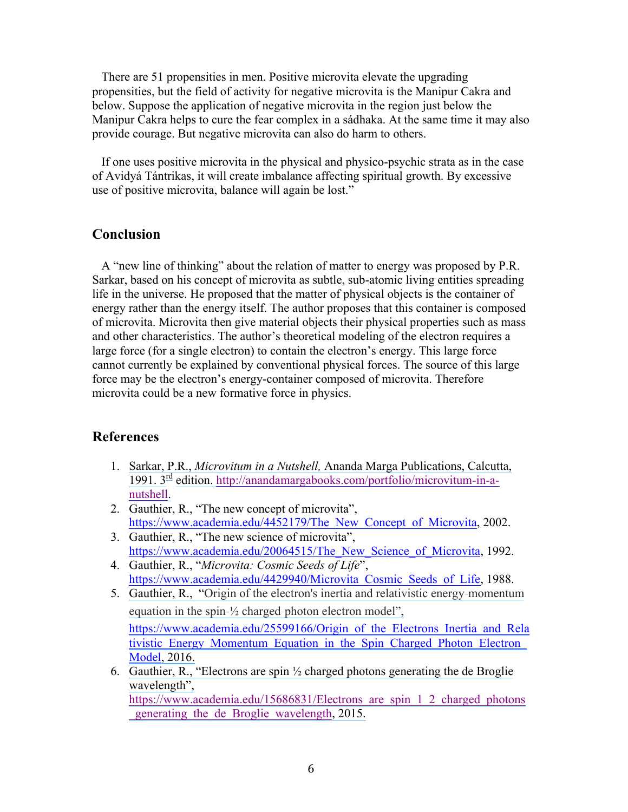There are 51 propensities in men. Positive microvita elevate the upgrading propensities, but the field of activity for negative microvita is the Manipur Cakra and below. Suppose the application of negative microvita in the region just below the Manipur Cakra helps to cure the fear complex in a sádhaka. At the same time it may also provide courage. But negative microvita can also do harm to others.

 If one uses positive microvita in the physical and physico-psychic strata as in the case of Avidyá Tántrikas, it will create imbalance affecting spiritual growth. By excessive use of positive microvita, balance will again be lost."

## **Conclusion**

 A "new line of thinking" about the relation of matter to energy was proposed by P.R. Sarkar, based on his concept of microvita as subtle, sub-atomic living entities spreading life in the universe. He proposed that the matter of physical objects is the container of energy rather than the energy itself. The author proposes that this container is composed of microvita. Microvita then give material objects their physical properties such as mass and other characteristics. The author's theoretical modeling of the electron requires a large force (for a single electron) to contain the electron's energy. This large force cannot currently be explained by conventional physical forces. The source of this large force may be the electron's energy-container composed of microvita. Therefore microvita could be a new formative force in physics.

## **References**

- 1. Sarkar, P.R., *Microvitum in a Nutshell,* [Ananda Marga Publications, Calcutta,](https://www.researchgate.net/publication/252233099_Microvitum_in_a_Nutshell?el=1_x_8&enrichId=rgreq-6a411f37c511505fb9205dc3a3f3aee9-XXX&enrichSource=Y292ZXJQYWdlOzMwNTAwNTQ3MjtBUzozODE0MDczMjQwNjU3OTRAMTQ2Nzk0NjAwMDk1Mg==) [1991.](https://www.researchgate.net/publication/252233099_Microvitum_in_a_Nutshell?el=1_x_8&enrichId=rgreq-6a411f37c511505fb9205dc3a3f3aee9-XXX&enrichSource=Y292ZXJQYWdlOzMwNTAwNTQ3MjtBUzozODE0MDczMjQwNjU3OTRAMTQ2Nzk0NjAwMDk1Mg==) 3[rd](https://www.researchgate.net/publication/252233099_Microvitum_in_a_Nutshell?el=1_x_8&enrichId=rgreq-6a411f37c511505fb9205dc3a3f3aee9-XXX&enrichSource=Y292ZXJQYWdlOzMwNTAwNTQ3MjtBUzozODE0MDczMjQwNjU3OTRAMTQ2Nzk0NjAwMDk1Mg==) edition. [http://anandamargabooks.com/portfolio/microvitum-in-a](https://www.researchgate.net/publication/252233099_Microvitum_in_a_Nutshell?el=1_x_8&enrichId=rgreq-6a411f37c511505fb9205dc3a3f3aee9-XXX&enrichSource=Y292ZXJQYWdlOzMwNTAwNTQ3MjtBUzozODE0MDczMjQwNjU3OTRAMTQ2Nzk0NjAwMDk1Mg==)[nutshell.](https://www.researchgate.net/publication/252233099_Microvitum_in_a_Nutshell?el=1_x_8&enrichId=rgreq-6a411f37c511505fb9205dc3a3f3aee9-XXX&enrichSource=Y292ZXJQYWdlOzMwNTAwNTQ3MjtBUzozODE0MDczMjQwNjU3OTRAMTQ2Nzk0NjAwMDk1Mg==)
- 2. Gauthier, R., "The new concept of microvita", https://www.academia.edu/4452179/The\_New\_Concept\_of\_Microvita, 2002.
- 3. Gauthier, R., "The new science of microvita", https://www.academia.edu/20064515/The New Science of Microvita, 1992.
- 4. Gauthier, R., "*Microvita: Cosmic Seeds of Life*", https://www.academia.edu/4429940/Microvita Cosmic Seeds of Life, 1988.
- 5. [Gauthier, R., "Origin of the electron's inertia and relativistic energy](https://www.researchgate.net/publication/298214348_Origin_of_the_Electron)‐momentum equation in the spin‐½ charged‐[photon electron model",](https://www.researchgate.net/publication/298214348_Origin_of_the_Electron) https://www.academia.edu/25599166/Origin of the Electrons Inertia and Rela tivistic Energy Momentum Equation in the Spin Charged Photon Electron [Model, 2016.](https://www.researchgate.net/publication/298214348_Origin_of_the_Electron)
- 6. Gauthier, R., "Electrons are spin  $\frac{1}{2}$  charged photons generating the de Broglie [wavelength",](https://www.researchgate.net/publication/281322081_Electrons_are_spin_12_charged_photons_generating_the_de_Broglie_wavelength?el=1_x_8&enrichId=rgreq-6a411f37c511505fb9205dc3a3f3aee9-XXX&enrichSource=Y292ZXJQYWdlOzMwNTAwNTQ3MjtBUzozODE0MDczMjQwNjU3OTRAMTQ2Nzk0NjAwMDk1Mg==) https://www.academia.edu/15686831/Electrons are spin 1\_2\_charged\_photons

[\\_generating\\_the\\_de\\_Broglie\\_wavelength, 2015.](https://www.researchgate.net/publication/281322081_Electrons_are_spin_12_charged_photons_generating_the_de_Broglie_wavelength?el=1_x_8&enrichId=rgreq-6a411f37c511505fb9205dc3a3f3aee9-XXX&enrichSource=Y292ZXJQYWdlOzMwNTAwNTQ3MjtBUzozODE0MDczMjQwNjU3OTRAMTQ2Nzk0NjAwMDk1Mg==)